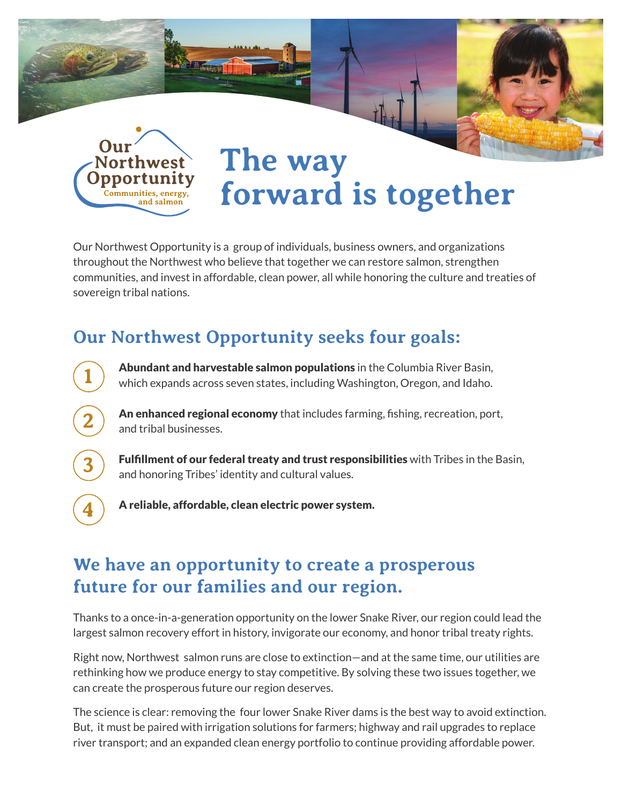

**1**

**2**

**3**

**4**

# **The way forward is together**

Our Northwest Opportunity is a group of individuals, business owners, and organizations throughout the Northwest who believe that together we can restore salmon, strengthen communities, and invest in affordable, clean power, all while honoring the culture and treaties of sovereign tribal nations.

### **Our Northwest Opportunity seeks four goals:**



An enhanced regional economy that includes farming, fishing, recreation, port, and tribal businesses.

Fulfillment of our federal treaty and trust responsibilities with Tribes in the Basin, and honoring Tribes' identity and cultural values.

A reliable, affordable, clean electric power system.

### **We have an opportunity to create a prosperous future for our families and our region.**

Thanks to a once-in-a-generation opportunity on the lower Snake River, our region could lead the largest salmon recovery effort in history, invigorate our economy, and honor tribal treaty rights.

Right now, Northwest salmon runs are close to extinction—and at the same time, our utilities are rethinking how we produce energy to stay competitive. By solving these two issues together, we can create the prosperous future our region deserves.

The science is clear: removing the four lower Snake River dams is the best way to avoid extinction. But, it must be paired with irrigation solutions for farmers; highway and rail upgrades to replace river transport; and an expanded clean energy portfolio to continue providing affordable power.